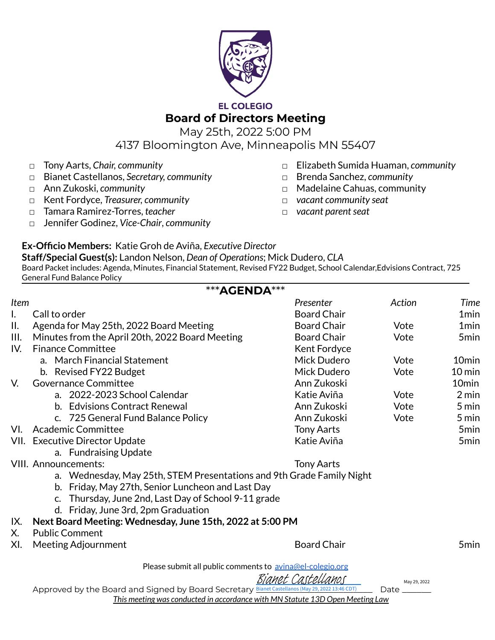

## **EL COLEGIO**

**Board of Directors Meeting**

May 25th, 2022 5:00 PM

4137 Bloomington Ave, Minneapolis MN 55407

- □ Tony Aarts, *Chair, community*
- □ Bianet Castellanos, *Secretary, community*
- □ Ann Zukoski, *community*
- □ Kent Fordyce, *Treasurer, community*
- □ Tamara Ramirez-Torres, *teacher*
- □ Jennifer Godinez, *Vice-Chair*, *community*
- □ Elizabeth Sumida Huaman, *community*
- □ Brenda Sanchez, *community*
- □ Madelaine Cahuas, community
- *□ vacant community seat*
- □ *vacant parent seat*

## **Ex-Officio Members:** Katie Groh de Aviña, *Executive Director*

**Staff/Special Guest(s):** Landon Nelson, *Dean of Operations*; Mick Dudero, *CLA* Board Packet includes: Agenda, Minutes, Financial Statement, Revised FY22 Budget, School Calendar,Edvisions Contract, 725 General Fund Balance Policy \*\*\***AGENDA**\*\*\*

|                | <b>***AGENDA***</b>                                                                             |                    |        |                     |
|----------------|-------------------------------------------------------------------------------------------------|--------------------|--------|---------------------|
| Item           |                                                                                                 | Presenter          | Action | Time                |
| $\mathbf{I}$ . | Call to order                                                                                   | <b>Board Chair</b> |        | 1 <sub>min</sub>    |
| П.             | Agenda for May 25th, 2022 Board Meeting                                                         | <b>Board Chair</b> | Vote   | 1 <sub>min</sub>    |
| III.           | Minutes from the April 20th, 2022 Board Meeting                                                 | <b>Board Chair</b> | Vote   | 5 <sub>min</sub>    |
| IV.            | <b>Finance Committee</b>                                                                        | Kent Fordyce       |        |                     |
|                | a. March Financial Statement                                                                    | Mick Dudero        | Vote   | 10 <sub>min</sub>   |
|                | b. Revised FY22 Budget                                                                          | Mick Dudero        | Vote   | $10 \,\mathrm{min}$ |
| V.             | <b>Governance Committee</b>                                                                     | Ann Zukoski        |        | 10 <sub>min</sub>   |
|                | a. 2022-2023 School Calendar                                                                    | Katie Aviña        | Vote   | $2 \text{ min}$     |
|                | b. Edvisions Contract Renewal                                                                   | Ann Zukoski        | Vote   | 5 min               |
|                | c. 725 General Fund Balance Policy                                                              | Ann Zukoski        | Vote   | 5 min               |
| VI.            | <b>Academic Committee</b>                                                                       | <b>Tony Aarts</b>  |        | 5 <sub>min</sub>    |
|                | VII. Executive Director Update                                                                  | Katie Aviña        |        | 5 <sub>min</sub>    |
|                | a. Fundraising Update                                                                           |                    |        |                     |
|                | <b>VIII. Announcements:</b>                                                                     | <b>Tony Aarts</b>  |        |                     |
|                | a. Wednesday, May 25th, STEM Presentations and 9th Grade Family Night                           |                    |        |                     |
|                | b. Friday, May 27th, Senior Luncheon and Last Day                                               |                    |        |                     |
|                | c. Thursday, June 2nd, Last Day of School 9-11 grade                                            |                    |        |                     |
|                | d. Friday, June 3rd, 2pm Graduation                                                             |                    |        |                     |
| IX.            | Next Board Meeting: Wednesday, June 15th, 2022 at 5:00 PM                                       |                    |        |                     |
| Х.             | <b>Public Comment</b>                                                                           |                    |        |                     |
| XI.            | <b>Meeting Adjournment</b>                                                                      | <b>Board Chair</b> |        | 5 <sub>min</sub>    |
|                | Please submit all public comments to avina@el-colegio.org                                       |                    |        |                     |
|                | Bianet Castellanos<br>May 29, 2022                                                              |                    |        |                     |
|                | Approved by the Board and Signed by Board Secretary Bianet Castellanos (May 29, 2022 13:46 CDT) |                    | Date   |                     |
|                | This meeting was conducted in accordance with MN Statute 13D Open Meeting Law                   |                    |        |                     |